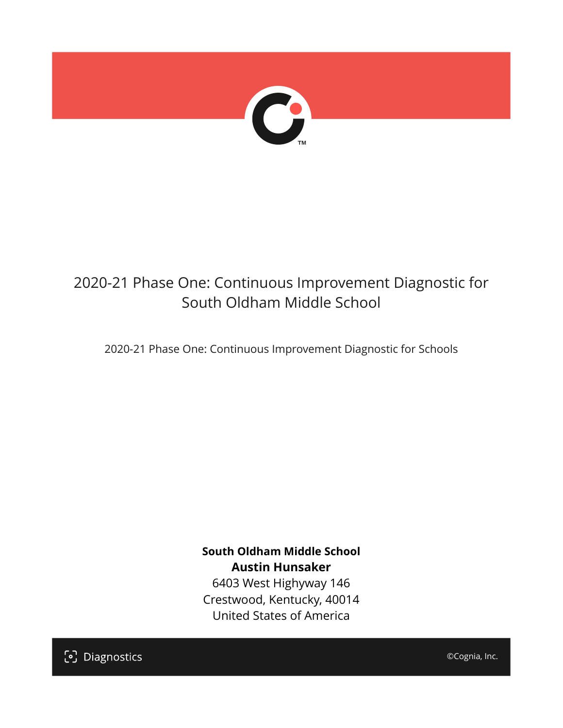

# 2020-21 Phase One: Continuous Improvement Diagnostic for South Oldham Middle School

2020-21 Phase One: Continuous Improvement Diagnostic for Schools

**South Oldham Middle School Austin Hunsaker** 6403 West Highyway 146 Crestwood, Kentucky, 40014 United States of America

[၁] Diagnostics

©Cognia, Inc.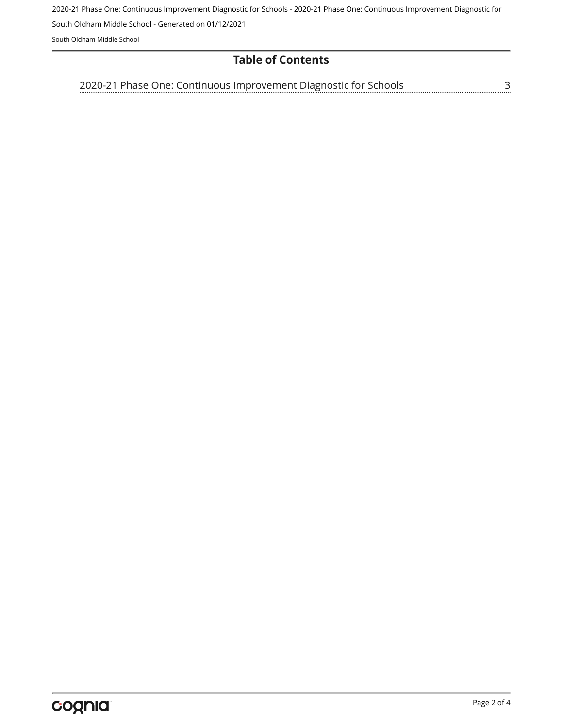2020-21 Phase One: Continuous Improvement Diagnostic for Schools - 2020-21 Phase One: Continuous Improvement Diagnostic for

South Oldham Middle School - Generated on 01/12/2021

South Oldham Middle School

#### **Table of Contents**

<u>[3](#page-2-0)</u> [2020-21 Phase One: Continuous Improvement Diagnostic for Schools](#page-2-0)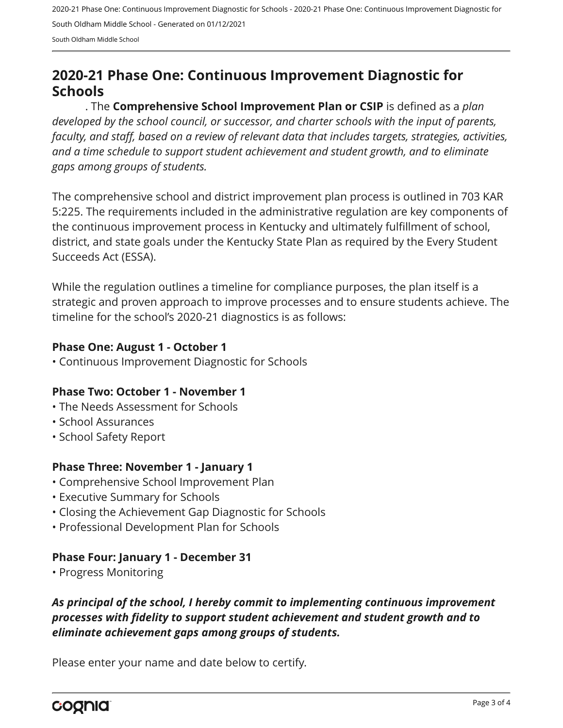2020-21 Phase One: Continuous Improvement Diagnostic for Schools - 2020-21 Phase One: Continuous Improvement Diagnostic for South Oldham Middle School - Generated on 01/12/2021 South Oldham Middle School

# <span id="page-2-0"></span>**2020-21 Phase One: Continuous Improvement Diagnostic for Schools**

. The **Comprehensive School Improvement Plan or CSIP** is defined as a *plan developed by the school council, or successor, and charter schools with the input of parents, faculty, and staff, based on a review of relevant data that includes targets, strategies, activities, and a time schedule to support student achievement and student growth, and to eliminate gaps among groups of students.*

The comprehensive school and district improvement plan process is outlined in 703 KAR 5:225. The requirements included in the administrative regulation are key components of the continuous improvement process in Kentucky and ultimately fulfillment of school, district, and state goals under the Kentucky State Plan as required by the Every Student Succeeds Act (ESSA).

While the regulation outlines a timeline for compliance purposes, the plan itself is a strategic and proven approach to improve processes and to ensure students achieve. The timeline for the school's 2020-21 diagnostics is as follows:

#### **Phase One: August 1 - October 1**

• Continuous Improvement Diagnostic for Schools

#### **Phase Two: October 1 - November 1**

- The Needs Assessment for Schools
- School Assurances
- School Safety Report

#### **Phase Three: November 1 - January 1**

- Comprehensive School Improvement Plan
- Executive Summary for Schools
- Closing the Achievement Gap Diagnostic for Schools
- Professional Development Plan for Schools

## **Phase Four: January 1 - December 31**

• Progress Monitoring

## *As principal of the school, I hereby commit to implementing continuous improvement processes with fidelity to support student achievement and student growth and to eliminate achievement gaps among groups of students.*

Please enter your name and date below to certify.